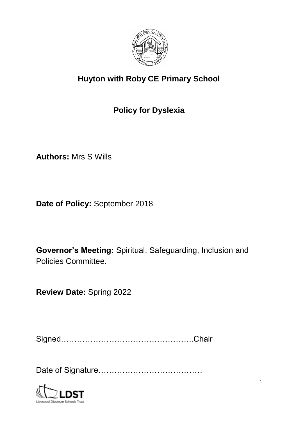

# **Huyton with Roby CE Primary School**

# **Policy for Dyslexia**

**Authors:** Mrs S Wills

**Date of Policy:** September 2018

**Governor's Meeting:** Spiritual, Safeguarding, Inclusion and Policies Committee.

**Review Date:** Spring 2022

Signed…………………………………………..Chair

Date of Signature…………………………………

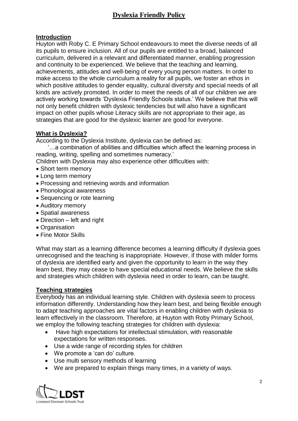# **Dyslexia Friendly Policy**

#### **Introduction**

Huyton with Roby C. E Primary School endeavours to meet the diverse needs of all its pupils to ensure inclusion. All of our pupils are entitled to a broad, balanced curriculum, delivered in a relevant and differentiated manner, enabling progression and continuity to be experienced. We believe that the teaching and learning, achievements, attitudes and well-being of every young person matters. In order to make access to the whole curriculum a reality for all pupils, we foster an ethos in which positive attitudes to gender equality, cultural diversity and special needs of all kinds are actively promoted. In order to meet the needs of all of our children we are actively working towards 'Dyslexia Friendly Schools status.' We believe that this will not only benefit children with dyslexic tendencies but will also have a significant impact on other pupils whose Literacy skills are not appropriate to their age, as strategies that are good for the dyslexic learner are good for everyone.

### **What is Dyslexia?**

According to the Dyslexia Institute, dyslexia can be defined as:

 '…a combination of abilities and difficulties which affect the learning process in reading, writing, spelling and sometimes numeracy.'

Children with Dyslexia may also experience other difficulties with:

- Short term memory
- Long term memory
- Processing and retrieving words and information
- Phonological awareness
- Sequencing or rote learning
- Auditory memory
- Spatial awareness
- Direction left and right
- Organisation
- Fine Motor Skills

What may start as a learning difference becomes a learning difficulty if dyslexia goes unrecognised and the teaching is inappropriate. However, if those with milder forms of dyslexia are identified early and given the opportunity to learn in the way they learn best, they may cease to have special educational needs. We believe the skills and strategies which children with dyslexia need in order to learn, can be taught.

#### **Teaching strategies**

Everybody has an individual learning style. Children with dyslexia seem to process information differently. Understanding how they learn best, and being flexible enough to adapt teaching approaches are vital factors in enabling children with dyslexia to learn effectively in the classroom. Therefore, at Huyton with Roby Primary School, we employ the following teaching strategies for children with dyslexia:

- Have high expectations for intellectual stimulation, with reasonable expectations for written responses.
- Use a wide range of recording styles for children
- We promote a 'can do' culture.
- Use multi sensory methods of learning
- We are prepared to explain things many times, in a variety of ways.

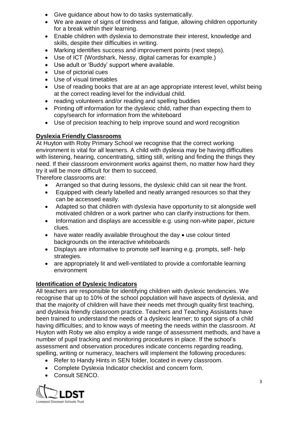- Give guidance about how to do tasks systematically.
- We are aware of signs of tiredness and fatigue, allowing children opportunity for a break within their learning.
- Enable children with dyslexia to demonstrate their interest, knowledge and skills, despite their difficulties in writing.
- Marking identifies success and improvement points (next steps).
- Use of ICT (Wordshark, Nessy, digital cameras for example.)
- Use adult or 'Buddy' support where available.
- Use of pictorial cues
- Use of visual timetables
- Use of reading books that are at an age appropriate interest level, whilst being at the correct reading level for the individual child.
- reading volunteers and/or reading and spelling buddies
- Printing off information for the dyslexic child, rather than expecting them to copy/search for information from the whiteboard
- Use of precision teaching to help improve sound and word recognition

### **Dyslexia Friendly Classrooms**

At Huyton with Roby Primary School we recognise that the correct working environment is vital for all learners. A child with dyslexia may be having difficulties with listening, hearing, concentrating, sitting still, writing and finding the things they need. If their classroom environment works against them, no matter how hard they try it will be more difficult for them to succeed.

Therefore classrooms are:

- Arranged so that during lessons, the dyslexic child can sit near the front.
- Equipped with clearly labelled and neatly arranged resources so that they can be accessed easily.
- Adapted so that children with dyslexia have opportunity to sit alongside well motivated children or a work partner who can clarify instructions for them.
- Information and displays are accessible e.g. using non-white paper, picture clues.
- $\bullet$  have water readily available throughout the day  $\bullet$  use colour tinted backgrounds on the interactive whiteboards
- Displays are informative to promote self learning e.g. prompts, self- help strategies.
- are appropriately lit and well-ventilated to provide a comfortable learning environment

## **Identification of Dyslexic Indicators**

All teachers are responsible for identifying children with dyslexic tendencies. We recognise that up to 10% of the school population will have aspects of dyslexia, and that the majority of children will have their needs met through quality first teaching, and dyslexia friendly classroom practice. Teachers and Teaching Assistants have been trained to understand the needs of a dyslexic learner; to spot signs of a child having difficulties; and to know ways of meeting the needs within the classroom. At Huyton with Roby we also employ a wide range of assessment methods, and have a number of pupil tracking and monitoring procedures in place. If the school's assessment and observation procedures indicate concerns regarding reading, spelling, writing or numeracy, teachers will implement the following procedures:

- Refer to Handy Hints in SEN folder, located in every classroom.
- Complete Dyslexia Indicator checklist and concern form.
- Consult SENCO.